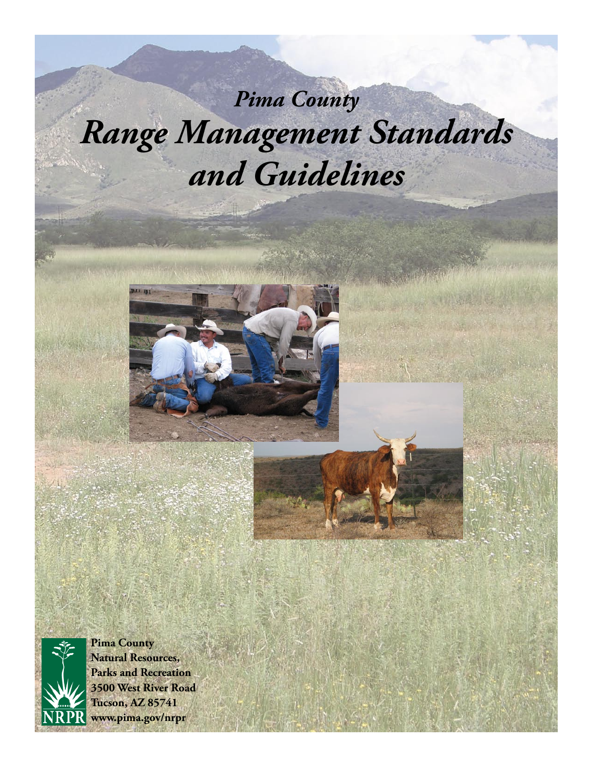# *Pima County Range Management Standards and Guidelines*





**Pima County Natural Resources, Parks and Recreation 3500 West River Road Tucson, AZ 85741 www.pima.gov/nrpr**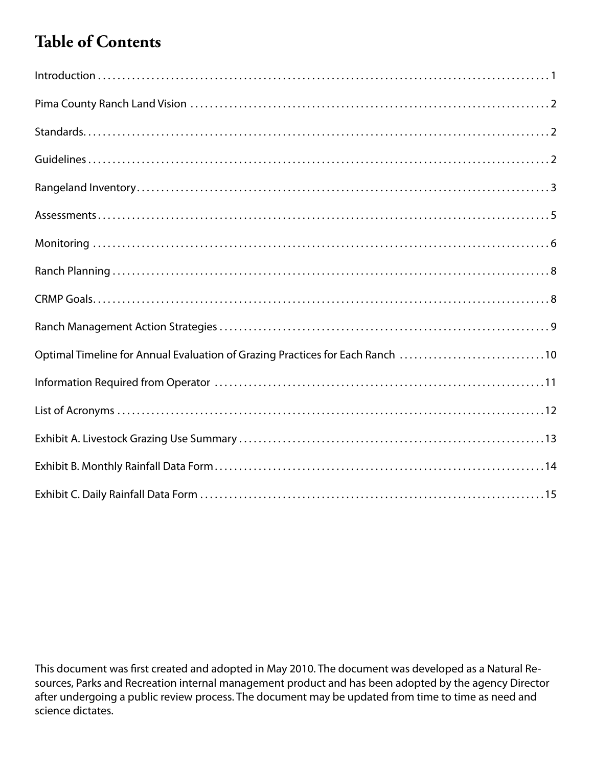## **Table of Contents**

| $Introduction \dots 1$                                                        |
|-------------------------------------------------------------------------------|
|                                                                               |
|                                                                               |
|                                                                               |
|                                                                               |
|                                                                               |
|                                                                               |
|                                                                               |
|                                                                               |
|                                                                               |
| Optimal Timeline for Annual Evaluation of Grazing Practices for Each Ranch 10 |
|                                                                               |
|                                                                               |
|                                                                               |
|                                                                               |
|                                                                               |

This document was first created and adopted in May 2010. The document was developed as a Natural Resources, Parks and Recreation internal management product and has been adopted by the agency Director after undergoing a public review process. The document may be updated from time to time as need and science dictates.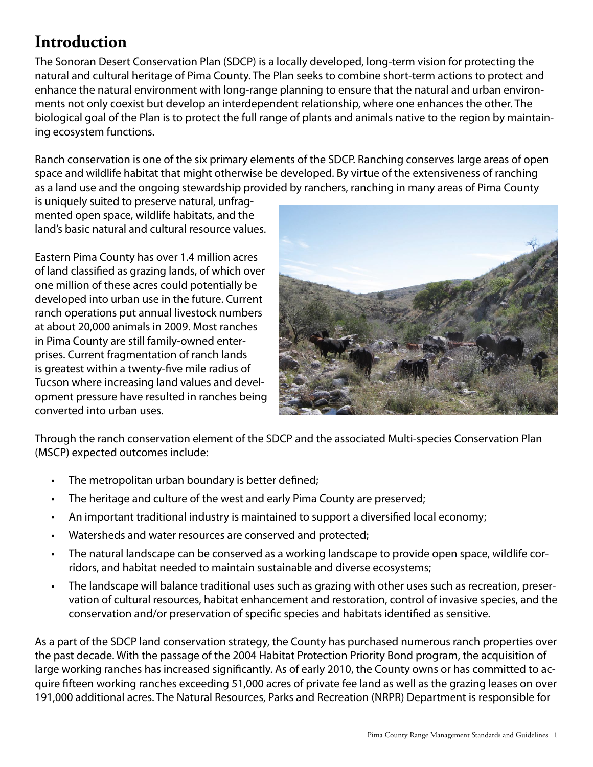#### **Introduction**

The Sonoran Desert Conservation Plan (SDCP) is a locally developed, long-term vision for protecting the natural and cultural heritage of Pima County. The Plan seeks to combine short-term actions to protect and enhance the natural environment with long-range planning to ensure that the natural and urban environments not only coexist but develop an interdependent relationship, where one enhances the other. The biological goal of the Plan is to protect the full range of plants and animals native to the region by maintaining ecosystem functions.

Ranch conservation is one of the six primary elements of the SDCP. Ranching conserves large areas of open space and wildlife habitat that might otherwise be developed. By virtue of the extensiveness of ranching as a land use and the ongoing stewardship provided by ranchers, ranching in many areas of Pima County

is uniquely suited to preserve natural, unfragmented open space, wildlife habitats, and the land's basic natural and cultural resource values.

Eastern Pima County has over 1.4 million acres of land classified as grazing lands, of which over one million of these acres could potentially be developed into urban use in the future. Current ranch operations put annual livestock numbers at about 20,000 animals in 2009. Most ranches in Pima County are still family-owned enterprises. Current fragmentation of ranch lands is greatest within a twenty-five mile radius of Tucson where increasing land values and development pressure have resulted in ranches being converted into urban uses.



Through the ranch conservation element of the SDCP and the associated Multi-species Conservation Plan (MSCP) expected outcomes include:

- The metropolitan urban boundary is better defined;
- The heritage and culture of the west and early Pima County are preserved;
- • An important traditional industry is maintained to support a diversified local economy;
- Watersheds and water resources are conserved and protected;
- The natural landscape can be conserved as a working landscape to provide open space, wildlife corridors, and habitat needed to maintain sustainable and diverse ecosystems;
- The landscape will balance traditional uses such as grazing with other uses such as recreation, preservation of cultural resources, habitat enhancement and restoration, control of invasive species, and the conservation and/or preservation of specific species and habitats identified as sensitive.

As a part of the SDCP land conservation strategy, the County has purchased numerous ranch properties over the past decade. With the passage of the 2004 Habitat Protection Priority Bond program, the acquisition of large working ranches has increased significantly. As of early 2010, the County owns or has committed to acquire fifteen working ranches exceeding 51,000 acres of private fee land as well as the grazing leases on over 191,000 additional acres. The Natural Resources, Parks and Recreation (NRPR) Department is responsible for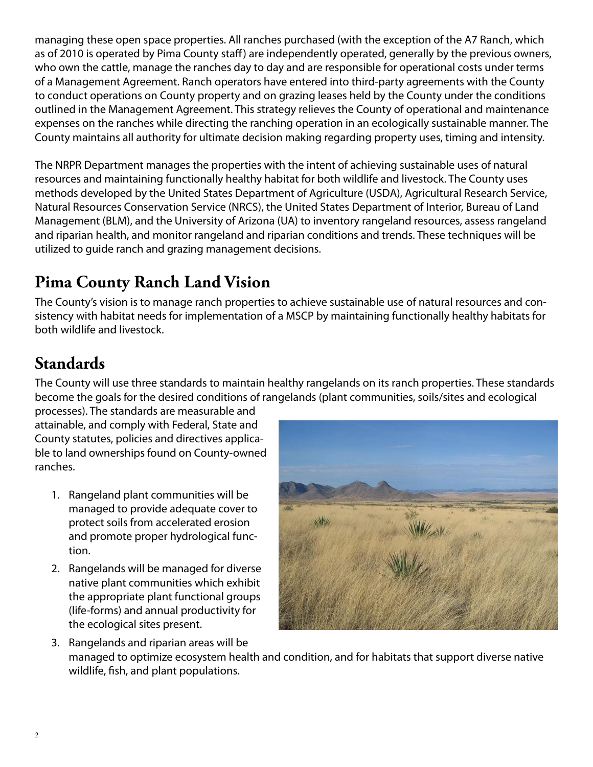managing these open space properties. All ranches purchased (with the exception of the A7 Ranch, which as of 2010 is operated by Pima County staff) are independently operated, generally by the previous owners, who own the cattle, manage the ranches day to day and are responsible for operational costs under terms of a Management Agreement. Ranch operators have entered into third-party agreements with the County to conduct operations on County property and on grazing leases held by the County under the conditions outlined in the Management Agreement. This strategy relieves the County of operational and maintenance expenses on the ranches while directing the ranching operation in an ecologically sustainable manner. The County maintains all authority for ultimate decision making regarding property uses, timing and intensity.

The NRPR Department manages the properties with the intent of achieving sustainable uses of natural resources and maintaining functionally healthy habitat for both wildlife and livestock. The County uses methods developed by the United States Department of Agriculture (USDA), Agricultural Research Service, Natural Resources Conservation Service (NRCS), the United States Department of Interior, Bureau of Land Management (BLM), and the University of Arizona (UA) to inventory rangeland resources, assess rangeland and riparian health, and monitor rangeland and riparian conditions and trends. These techniques will be utilized to guide ranch and grazing management decisions.

## **Pima County Ranch Land Vision**

The County's vision is to manage ranch properties to achieve sustainable use of natural resources and consistency with habitat needs for implementation of a MSCP by maintaining functionally healthy habitats for both wildlife and livestock.

## **Standards**

The County will use three standards to maintain healthy rangelands on its ranch properties. These standards become the goals for the desired conditions of rangelands (plant communities, soils/sites and ecological

processes). The standards are measurable and attainable, and comply with Federal, State and County statutes, policies and directives applicable to land ownerships found on County-owned ranches.

- 1. Rangeland plant communities will be managed to provide adequate cover to protect soils from accelerated erosion and promote proper hydrological function.
- 2. Rangelands will be managed for diverse native plant communities which exhibit the appropriate plant functional groups (life-forms) and annual productivity for the ecological sites present.



3. Rangelands and riparian areas will be managed to optimize ecosystem health and condition, and for habitats that support diverse native wildlife, fish, and plant populations.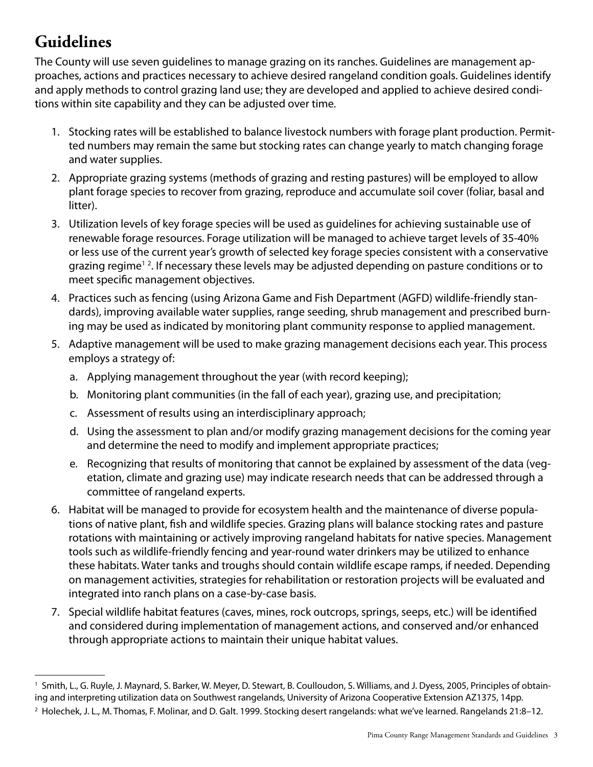## **Guidelines**

The County will use seven guidelines to manage grazing on its ranches. Guidelines are management approaches, actions and practices necessary to achieve desired rangeland condition goals. Guidelines identify and apply methods to control grazing land use; they are developed and applied to achieve desired conditions within site capability and they can be adjusted over time.

- 1. Stocking rates will be established to balance livestock numbers with forage plant production. Permitted numbers may remain the same but stocking rates can change yearly to match changing forage and water supplies.
- 2. Appropriate grazing systems (methods of grazing and resting pastures) will be employed to allow plant forage species to recover from grazing, reproduce and accumulate soil cover (foliar, basal and litter).
- 3. Utilization levels of key forage species will be used as guidelines for achieving sustainable use of renewable forage resources. Forage utilization will be managed to achieve target levels of 35-40% or less use of the current year's growth of selected key forage species consistent with a conservative grazing regime<sup>12</sup>. If necessary these levels may be adjusted depending on pasture conditions or to meet specific management objectives.
- 4. Practices such as fencing (using Arizona Game and Fish Department (AGFD) wildlife-friendly standards), improving available water supplies, range seeding, shrub management and prescribed burning may be used as indicated by monitoring plant community response to applied management.
- 5. Adaptive management will be used to make grazing management decisions each year. This process employs a strategy of:
	- a. Applying management throughout the year (with record keeping);
	- b. Monitoring plant communities (in the fall of each year), grazing use, and precipitation;
	- c. Assessment of results using an interdisciplinary approach;
	- d. Using the assessment to plan and/or modify grazing management decisions for the coming year and determine the need to modify and implement appropriate practices;
	- e. Recognizing that results of monitoring that cannot be explained by assessment of the data (vegetation, climate and grazing use) may indicate research needs that can be addressed through a committee of rangeland experts.
- 6. Habitat will be managed to provide for ecosystem health and the maintenance of diverse populations of native plant, fish and wildlife species. Grazing plans will balance stocking rates and pasture rotations with maintaining or actively improving rangeland habitats for native species. Management tools such as wildlife-friendly fencing and year-round water drinkers may be utilized to enhance these habitats. Water tanks and troughs should contain wildlife escape ramps, if needed. Depending on management activities, strategies for rehabilitation or restoration projects will be evaluated and integrated into ranch plans on a case-by-case basis.
- 7. Special wildlife habitat features (caves, mines, rock outcrops, springs, seeps, etc.) will be identified and considered during implementation of management actions, and conserved and/or enhanced through appropriate actions to maintain their unique habitat values.

<sup>1</sup> Smith, L., G. Ruyle, J. Maynard, S. Barker, W. Meyer, D. Stewart, B. Coulloudon, S. Williams, and J. Dyess, 2005, Principles of obtaining and interpreting utilization data on Southwest rangelands, University of Arizona Cooperative Extension AZ1375, 14pp.

<sup>2</sup> Holechek, J. L., M. Thomas, F. Molinar, and D. Galt. 1999. Stocking desert rangelands: what we've learned. Rangelands 21:8–12.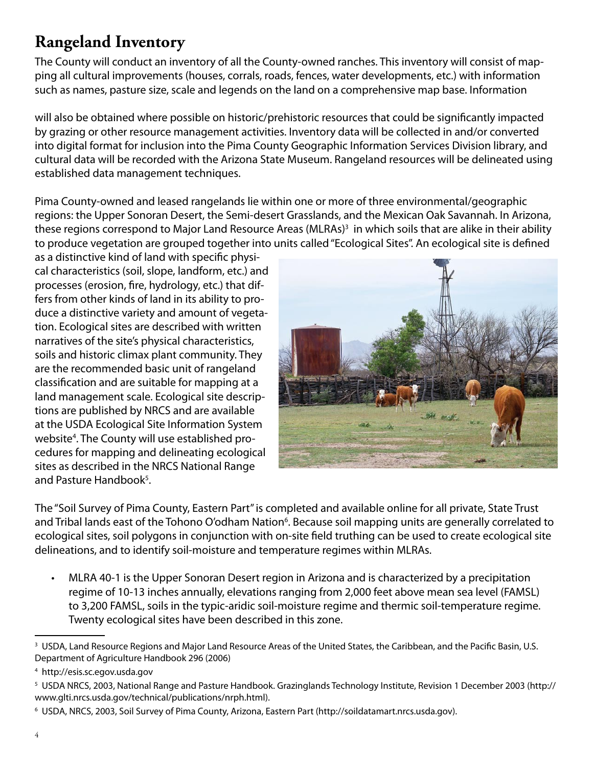#### **Rangeland Inventory**

The County will conduct an inventory of all the County-owned ranches. This inventory will consist of mapping all cultural improvements (houses, corrals, roads, fences, water developments, etc.) with information such as names, pasture size, scale and legends on the land on a comprehensive map base. Information

will also be obtained where possible on historic/prehistoric resources that could be significantly impacted by grazing or other resource management activities. Inventory data will be collected in and/or converted into digital format for inclusion into the Pima County Geographic Information Services Division library, and cultural data will be recorded with the Arizona State Museum. Rangeland resources will be delineated using established data management techniques.

Pima County-owned and leased rangelands lie within one or more of three environmental/geographic regions: the Upper Sonoran Desert, the Semi-desert Grasslands, and the Mexican Oak Savannah. In Arizona, these regions correspond to Major Land Resource Areas (MLRAs)<sup>3</sup> in which soils that are alike in their ability to produce vegetation are grouped together into units called "Ecological Sites". An ecological site is defined

as a distinctive kind of land with specific physical characteristics (soil, slope, landform, etc.) and processes (erosion, fire, hydrology, etc.) that differs from other kinds of land in its ability to produce a distinctive variety and amount of vegetation. Ecological sites are described with written narratives of the site's physical characteristics, soils and historic climax plant community. They are the recommended basic unit of rangeland classification and are suitable for mapping at a land management scale. Ecological site descriptions are published by NRCS and are available at the USDA Ecological Site Information System website<sup>4</sup>. The County will use established procedures for mapping and delineating ecological sites as described in the NRCS National Range and Pasture Handbook<sup>5</sup>.



The "Soil Survey of Pima County, Eastern Part" is completed and available online for all private, State Trust and Tribal lands east of the Tohono O'odham Nation<sup>6</sup>. Because soil mapping units are generally correlated to ecological sites, soil polygons in conjunction with on-site field truthing can be used to create ecological site delineations, and to identify soil-moisture and temperature regimes within MLRAs.

• MLRA 40-1 is the Upper Sonoran Desert region in Arizona and is characterized by a precipitation regime of 10-13 inches annually, elevations ranging from 2,000 feet above mean sea level (FAMSL) to 3,200 FAMSL, soils in the typic-aridic soil-moisture regime and thermic soil-temperature regime. Twenty ecological sites have been described in this zone.

 $^3$  USDA, Land Resource Regions and Major Land Resource Areas of the United States, the Caribbean, and the Pacific Basin, U.S. Department of Agriculture Handbook 296 (2006)

<sup>4</sup> http://esis.sc.egov.usda.gov

 $^5$  USDA NRCS, 2003, National Range and Pasture Handbook. Grazinglands Technology Institute, Revision 1 December 2003 (http:// www.glti.nrcs.usda.gov/technical/publications/nrph.html).

<sup>6</sup> USDA, NRCS, 2003, Soil Survey of Pima County, Arizona, Eastern Part (http://soildatamart.nrcs.usda.gov).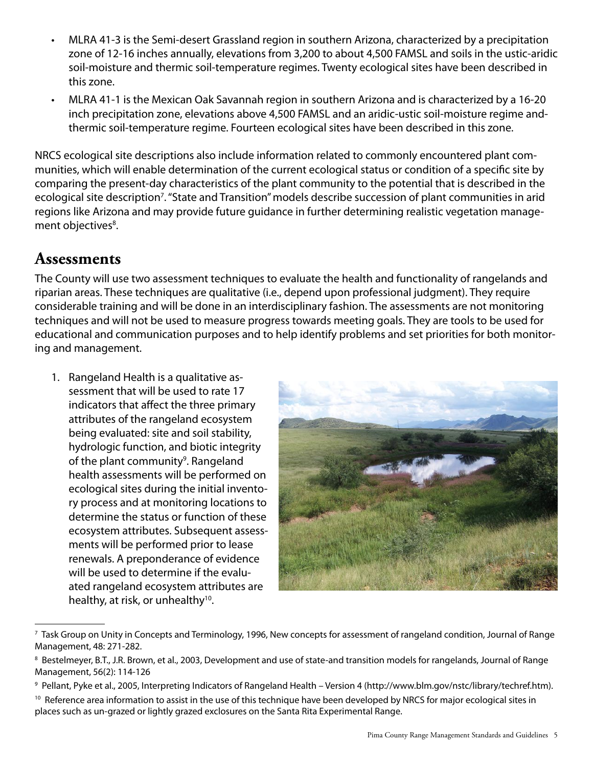- • MLRA 41-3 is the Semi-desert Grassland region in southern Arizona, characterized by a precipitation zone of 12-16 inches annually, elevations from 3,200 to about 4,500 FAMSL and soils in the ustic-aridic soil-moisture and thermic soil-temperature regimes. Twenty ecological sites have been described in this zone.
- MLRA 41-1 is the Mexican Oak Savannah region in southern Arizona and is characterized by a 16-20 inch precipitation zone, elevations above 4,500 FAMSL and an aridic-ustic soil-moisture regime andthermic soil-temperature regime. Fourteen ecological sites have been described in this zone.

NRCS ecological site descriptions also include information related to commonly encountered plant communities, which will enable determination of the current ecological status or condition of a specific site by comparing the present-day characteristics of the plant community to the potential that is described in the ecological site description<sup>7</sup>. "State and Transition" models describe succession of plant communities in arid regions like Arizona and may provide future guidance in further determining realistic vegetation management objectives<sup>8</sup>.

#### **Assessments**

The County will use two assessment techniques to evaluate the health and functionality of rangelands and riparian areas. These techniques are qualitative (i.e., depend upon professional judgment). They require considerable training and will be done in an interdisciplinary fashion. The assessments are not monitoring techniques and will not be used to measure progress towards meeting goals. They are tools to be used for educational and communication purposes and to help identify problems and set priorities for both monitoring and management.

1. Rangeland Health is a qualitative assessment that will be used to rate 17 indicators that affect the three primary attributes of the rangeland ecosystem being evaluated: site and soil stability, hydrologic function, and biotic integrity of the plant community<sup>9</sup>. Rangeland health assessments will be performed on ecological sites during the initial inventory process and at monitoring locations to determine the status or function of these ecosystem attributes. Subsequent assessments will be performed prior to lease renewals. A preponderance of evidence will be used to determine if the evaluated rangeland ecosystem attributes are healthy, at risk, or unhealthy<sup>10</sup>.



<sup>7</sup> Task Group on Unity in Concepts and Terminology, 1996, New concepts for assessment of rangeland condition, Journal of Range Management, 48: 271-282.

<sup>10</sup> Reference area information to assist in the use of this technique have been developed by NRCS for major ecological sites in places such as un-grazed or lightly grazed exclosures on the Santa Rita Experimental Range.

 $^{\rm 8}$  Bestelmeyer, B.T., J.R. Brown, et al., 2003, Development and use of state-and transition models for rangelands, Journal of Range Management, 56(2): 114-126

<sup>9</sup> Pellant, Pyke et al., 2005, Interpreting Indicators of Rangeland Health – Version 4 (http://www.blm.gov/nstc/library/techref.htm).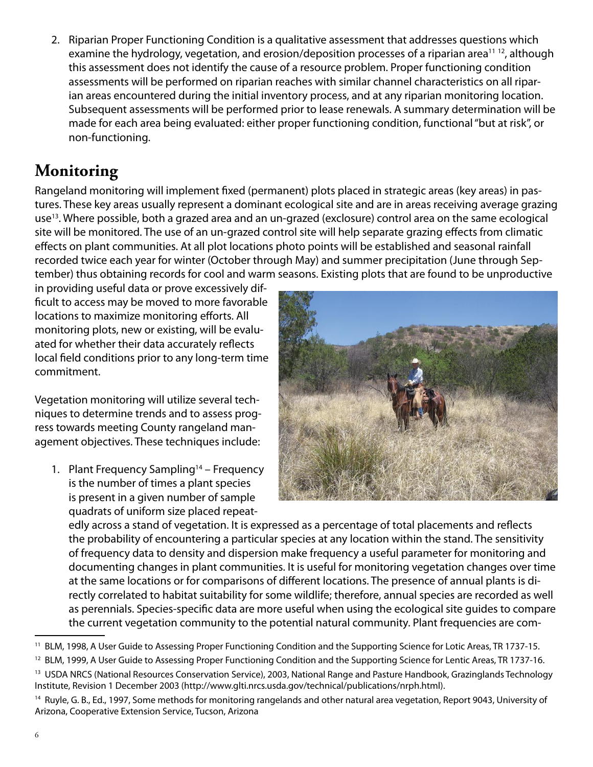2. Riparian Proper Functioning Condition is a qualitative assessment that addresses questions which examine the hydrology, vegetation, and erosion/deposition processes of a riparian area<sup>11 12</sup>, although this assessment does not identify the cause of a resource problem. Proper functioning condition assessments will be performed on riparian reaches with similar channel characteristics on all riparian areas encountered during the initial inventory process, and at any riparian monitoring location. Subsequent assessments will be performed prior to lease renewals. A summary determination will be made for each area being evaluated: either proper functioning condition, functional "but at risk", or non-functioning.

### **Monitoring**

Rangeland monitoring will implement fixed (permanent) plots placed in strategic areas (key areas) in pastures. These key areas usually represent a dominant ecological site and are in areas receiving average grazing use<sup>13</sup>. Where possible, both a grazed area and an un-grazed (exclosure) control area on the same ecological site will be monitored. The use of an un-grazed control site will help separate grazing effects from climatic effects on plant communities. At all plot locations photo points will be established and seasonal rainfall recorded twice each year for winter (October through May) and summer precipitation (June through September) thus obtaining records for cool and warm seasons. Existing plots that are found to be unproductive

in providing useful data or prove excessively difficult to access may be moved to more favorable locations to maximize monitoring efforts. All monitoring plots, new or existing, will be evaluated for whether their data accurately reflects local field conditions prior to any long-term time commitment.

Vegetation monitoring will utilize several techniques to determine trends and to assess progress towards meeting County rangeland management objectives. These techniques include:

1. Plant Frequency Sampling<sup>14</sup> – Frequency is the number of times a plant species is present in a given number of sample quadrats of uniform size placed repeat-



edly across a stand of vegetation. It is expressed as a percentage of total placements and reflects the probability of encountering a particular species at any location within the stand. The sensitivity of frequency data to density and dispersion make frequency a useful parameter for monitoring and documenting changes in plant communities. It is useful for monitoring vegetation changes over time at the same locations or for comparisons of different locations. The presence of annual plants is directly correlated to habitat suitability for some wildlife; therefore, annual species are recorded as well as perennials. Species-specific data are more useful when using the ecological site guides to compare the current vegetation community to the potential natural community. Plant frequencies are com-

<sup>11</sup> BLM, 1998, A User Guide to Assessing Proper Functioning Condition and the Supporting Science for Lotic Areas, TR 1737-15.

<sup>&</sup>lt;sup>12</sup> BLM, 1999, A User Guide to Assessing Proper Functioning Condition and the Supporting Science for Lentic Areas, TR 1737-16.

<sup>13</sup> USDA NRCS (National Resources Conservation Service), 2003, National Range and Pasture Handbook, Grazinglands Technology Institute, Revision 1 December 2003 (http://www.glti.nrcs.usda.gov/technical/publications/nrph.html).

<sup>&</sup>lt;sup>14</sup> Ruyle, G. B., Ed., 1997, Some methods for monitoring rangelands and other natural area vegetation, Report 9043, University of Arizona, Cooperative Extension Service, Tucson, Arizona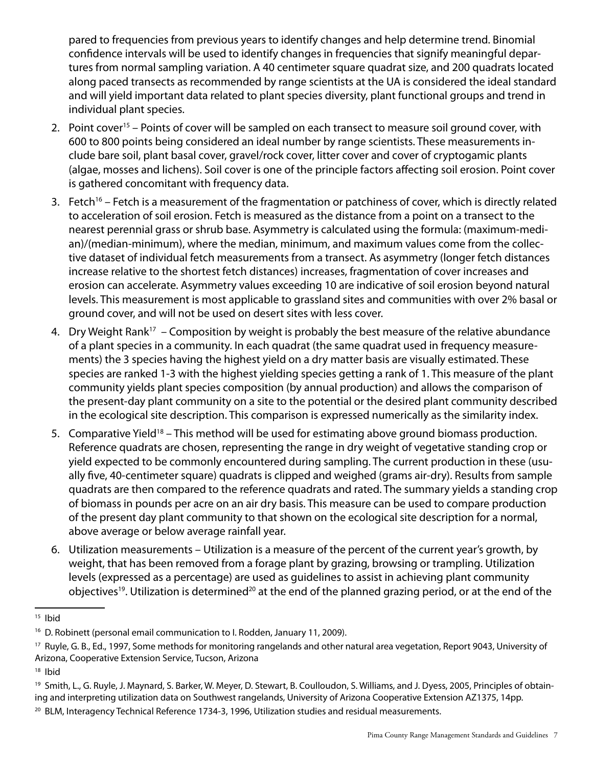pared to frequencies from previous years to identify changes and help determine trend. Binomial confidence intervals will be used to identify changes in frequencies that signify meaningful departures from normal sampling variation. A 40 centimeter square quadrat size, and 200 quadrats located along paced transects as recommended by range scientists at the UA is considered the ideal standard and will yield important data related to plant species diversity, plant functional groups and trend in individual plant species.

- 2. Point cover<sup>15</sup> Points of cover will be sampled on each transect to measure soil ground cover, with 600 to 800 points being considered an ideal number by range scientists. These measurements include bare soil, plant basal cover, gravel/rock cover, litter cover and cover of cryptogamic plants (algae, mosses and lichens). Soil cover is one of the principle factors affecting soil erosion. Point cover is gathered concomitant with frequency data.
- 3. Fetch<sup>16</sup> Fetch is a measurement of the fragmentation or patchiness of cover, which is directly related to acceleration of soil erosion. Fetch is measured as the distance from a point on a transect to the nearest perennial grass or shrub base. Asymmetry is calculated using the formula: (maximum-median)/(median-minimum), where the median, minimum, and maximum values come from the collective dataset of individual fetch measurements from a transect. As asymmetry (longer fetch distances increase relative to the shortest fetch distances) increases, fragmentation of cover increases and erosion can accelerate. Asymmetry values exceeding 10 are indicative of soil erosion beyond natural levels. This measurement is most applicable to grassland sites and communities with over 2% basal or ground cover, and will not be used on desert sites with less cover.
- 4. Dry Weight Rank<sup>17</sup> Composition by weight is probably the best measure of the relative abundance of a plant species in a community. In each quadrat (the same quadrat used in frequency measurements) the 3 species having the highest yield on a dry matter basis are visually estimated. These species are ranked 1-3 with the highest yielding species getting a rank of 1. This measure of the plant community yields plant species composition (by annual production) and allows the comparison of the present-day plant community on a site to the potential or the desired plant community described in the ecological site description. This comparison is expressed numerically as the similarity index.
- 5. Comparative Yield<sup>18</sup> This method will be used for estimating above ground biomass production. Reference quadrats are chosen, representing the range in dry weight of vegetative standing crop or yield expected to be commonly encountered during sampling. The current production in these (usually five, 40-centimeter square) quadrats is clipped and weighed (grams air-dry). Results from sample quadrats are then compared to the reference quadrats and rated. The summary yields a standing crop of biomass in pounds per acre on an air dry basis. This measure can be used to compare production of the present day plant community to that shown on the ecological site description for a normal, above average or below average rainfall year.
- 6. Utilization measurements Utilization is a measure of the percent of the current year's growth, by weight, that has been removed from a forage plant by grazing, browsing or trampling. Utilization levels (expressed as a percentage) are used as guidelines to assist in achieving plant community objectives<sup>19</sup>. Utilization is determined<sup>20</sup> at the end of the planned grazing period, or at the end of the

<sup>15</sup> Ibid

<sup>&</sup>lt;sup>16</sup> D. Robinett (personal email communication to I. Rodden, January 11, 2009).

<sup>17</sup> Ruyle, G. B., Ed., 1997, Some methods for monitoring rangelands and other natural area vegetation, Report 9043, University of Arizona, Cooperative Extension Service, Tucson, Arizona

<sup>18</sup> Ibid

<sup>&</sup>lt;sup>19</sup> Smith, L., G. Ruyle, J. Maynard, S. Barker, W. Meyer, D. Stewart, B. Coulloudon, S. Williams, and J. Dyess, 2005, Principles of obtaining and interpreting utilization data on Southwest rangelands, University of Arizona Cooperative Extension AZ1375, 14pp.

<sup>20</sup> BLM, Interagency Technical Reference 1734-3, 1996, Utilization studies and residual measurements.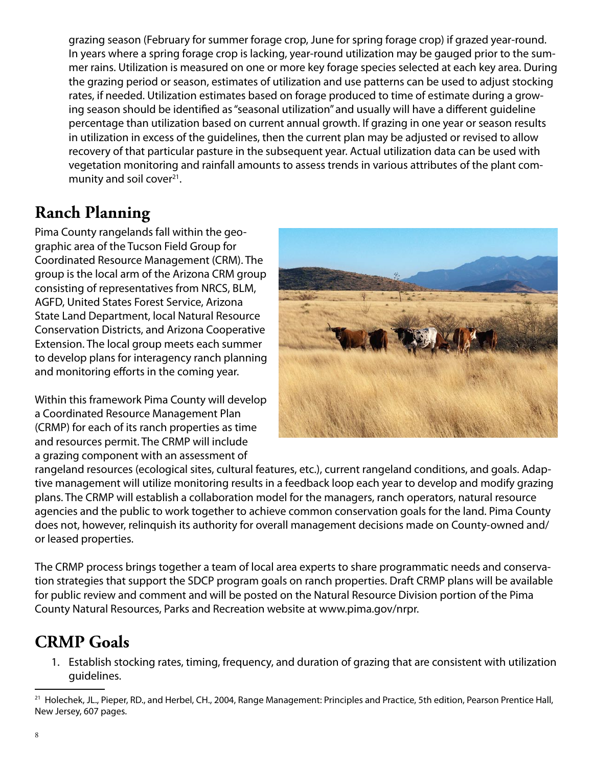grazing season (February for summer forage crop, June for spring forage crop) if grazed year-round. In years where a spring forage crop is lacking, year-round utilization may be gauged prior to the summer rains. Utilization is measured on one or more key forage species selected at each key area. During the grazing period or season, estimates of utilization and use patterns can be used to adjust stocking rates, if needed. Utilization estimates based on forage produced to time of estimate during a growing season should be identified as "seasonal utilization" and usually will have a different guideline percentage than utilization based on current annual growth. If grazing in one year or season results in utilization in excess of the guidelines, then the current plan may be adjusted or revised to allow recovery of that particular pasture in the subsequent year. Actual utilization data can be used with vegetation monitoring and rainfall amounts to assess trends in various attributes of the plant community and soil cover $21$ .

#### **Ranch Planning**

Pima County rangelands fall within the geographic area of the Tucson Field Group for Coordinated Resource Management (CRM). The group is the local arm of the Arizona CRM group consisting of representatives from NRCS, BLM, AGFD, United States Forest Service, Arizona State Land Department, local Natural Resource Conservation Districts, and Arizona Cooperative Extension. The local group meets each summer to develop plans for interagency ranch planning and monitoring efforts in the coming year.

Within this framework Pima County will develop a Coordinated Resource Management Plan (CRMP) for each of its ranch properties as time and resources permit. The CRMP will include a grazing component with an assessment of



rangeland resources (ecological sites, cultural features, etc.), current rangeland conditions, and goals. Adaptive management will utilize monitoring results in a feedback loop each year to develop and modify grazing plans. The CRMP will establish a collaboration model for the managers, ranch operators, natural resource agencies and the public to work together to achieve common conservation goals for the land. Pima County does not, however, relinquish its authority for overall management decisions made on County-owned and/ or leased properties.

The CRMP process brings together a team of local area experts to share programmatic needs and conservation strategies that support the SDCP program goals on ranch properties. Draft CRMP plans will be available for public review and comment and will be posted on the Natural Resource Division portion of the Pima County Natural Resources, Parks and Recreation website at www.pima.gov/nrpr.

#### **CRMP Goals**

1. Establish stocking rates, timing, frequency, and duration of grazing that are consistent with utilization guidelines.

<sup>&</sup>lt;sup>21</sup> Holechek, JL., Pieper, RD., and Herbel, CH., 2004, Range Management: Principles and Practice, 5th edition, Pearson Prentice Hall, New Jersey, 607 pages.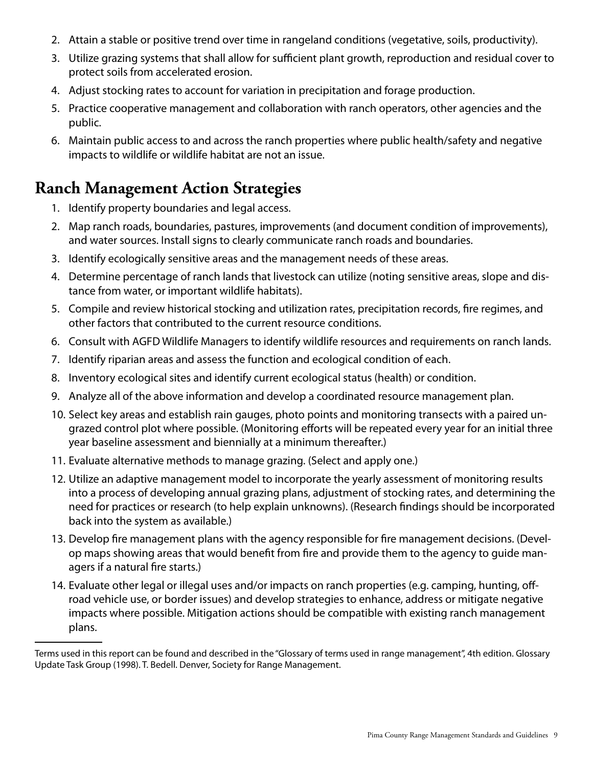- 2. Attain a stable or positive trend over time in rangeland conditions (vegetative, soils, productivity).
- 3. Utilize grazing systems that shall allow for sufficient plant growth, reproduction and residual cover to protect soils from accelerated erosion.
- 4. Adjust stocking rates to account for variation in precipitation and forage production.
- 5. Practice cooperative management and collaboration with ranch operators, other agencies and the public.
- 6. Maintain public access to and across the ranch properties where public health/safety and negative impacts to wildlife or wildlife habitat are not an issue.

#### **Ranch Management Action Strategies**

- 1. Identify property boundaries and legal access.
- 2. Map ranch roads, boundaries, pastures, improvements (and document condition of improvements), and water sources. Install signs to clearly communicate ranch roads and boundaries.
- 3. Identify ecologically sensitive areas and the management needs of these areas.
- 4. Determine percentage of ranch lands that livestock can utilize (noting sensitive areas, slope and distance from water, or important wildlife habitats).
- 5. Compile and review historical stocking and utilization rates, precipitation records, fire regimes, and other factors that contributed to the current resource conditions.
- 6. Consult with AGFD Wildlife Managers to identify wildlife resources and requirements on ranch lands.
- 7. Identify riparian areas and assess the function and ecological condition of each.
- 8. Inventory ecological sites and identify current ecological status (health) or condition.
- 9. Analyze all of the above information and develop a coordinated resource management plan.
- 10. Select key areas and establish rain gauges, photo points and monitoring transects with a paired ungrazed control plot where possible. (Monitoring efforts will be repeated every year for an initial three year baseline assessment and biennially at a minimum thereafter.)
- 11. Evaluate alternative methods to manage grazing. (Select and apply one.)
- 12. Utilize an adaptive management model to incorporate the yearly assessment of monitoring results into a process of developing annual grazing plans, adjustment of stocking rates, and determining the need for practices or research (to help explain unknowns). (Research findings should be incorporated back into the system as available.)
- 13. Develop fire management plans with the agency responsible for fire management decisions. (Develop maps showing areas that would benefit from fire and provide them to the agency to guide managers if a natural fire starts.)
- 14. Evaluate other legal or illegal uses and/or impacts on ranch properties (e.g. camping, hunting, offroad vehicle use, or border issues) and develop strategies to enhance, address or mitigate negative impacts where possible. Mitigation actions should be compatible with existing ranch management plans.

Terms used in this report can be found and described in the "Glossary of terms used in range management", 4th edition. Glossary Update Task Group (1998). T. Bedell. Denver, Society for Range Management.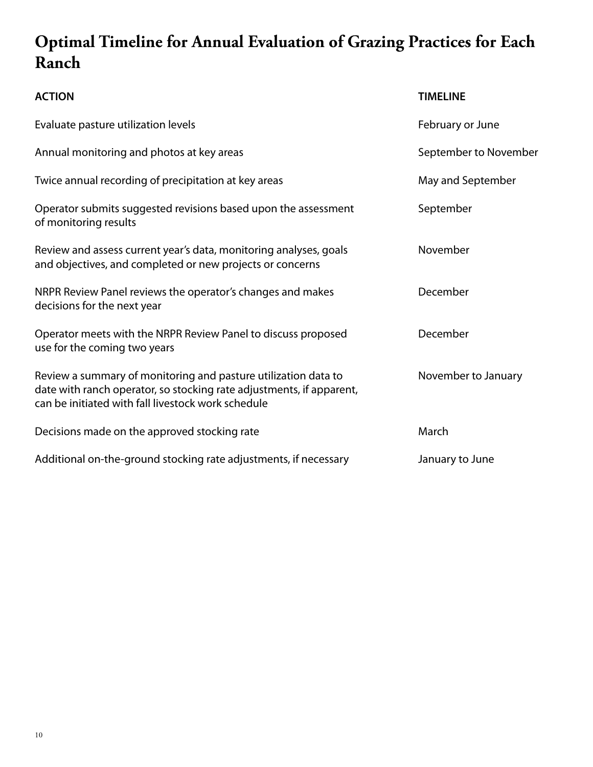## **Optimal Timeline for Annual Evaluation of Grazing Practices for Each Ranch**

| <b>ACTION</b>                                                                                                                                                                                | <b>TIMELINE</b>       |
|----------------------------------------------------------------------------------------------------------------------------------------------------------------------------------------------|-----------------------|
| Evaluate pasture utilization levels                                                                                                                                                          | February or June      |
| Annual monitoring and photos at key areas                                                                                                                                                    | September to November |
| Twice annual recording of precipitation at key areas                                                                                                                                         | May and September     |
| Operator submits suggested revisions based upon the assessment<br>of monitoring results                                                                                                      | September             |
| Review and assess current year's data, monitoring analyses, goals<br>and objectives, and completed or new projects or concerns                                                               | November              |
| NRPR Review Panel reviews the operator's changes and makes<br>decisions for the next year                                                                                                    | December              |
| Operator meets with the NRPR Review Panel to discuss proposed<br>use for the coming two years                                                                                                | December              |
| Review a summary of monitoring and pasture utilization data to<br>date with ranch operator, so stocking rate adjustments, if apparent,<br>can be initiated with fall livestock work schedule | November to January   |
| Decisions made on the approved stocking rate                                                                                                                                                 | March                 |
| Additional on-the-ground stocking rate adjustments, if necessary                                                                                                                             | January to June       |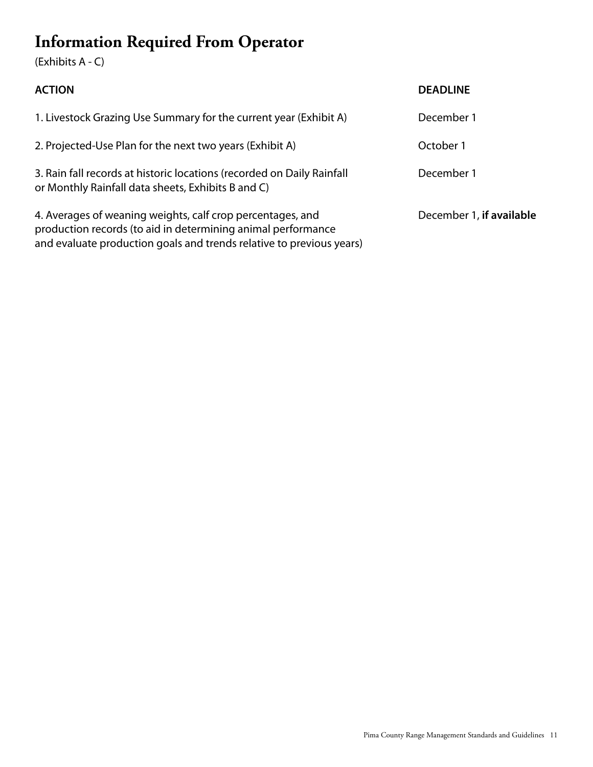## **Information Required From Operator**

#### (Exhibits A - C)

| <b>ACTION</b>                                                                                                                                                                                      | <b>DEADLINE</b>          |
|----------------------------------------------------------------------------------------------------------------------------------------------------------------------------------------------------|--------------------------|
| 1. Livestock Grazing Use Summary for the current year (Exhibit A)                                                                                                                                  | December 1               |
| 2. Projected-Use Plan for the next two years (Exhibit A)                                                                                                                                           | October 1                |
| 3. Rain fall records at historic locations (recorded on Daily Rainfall<br>or Monthly Rainfall data sheets, Exhibits B and C)                                                                       | December 1               |
| 4. Averages of weaning weights, calf crop percentages, and<br>production records (to aid in determining animal performance<br>and evaluate production goals and trends relative to previous years) | December 1, if available |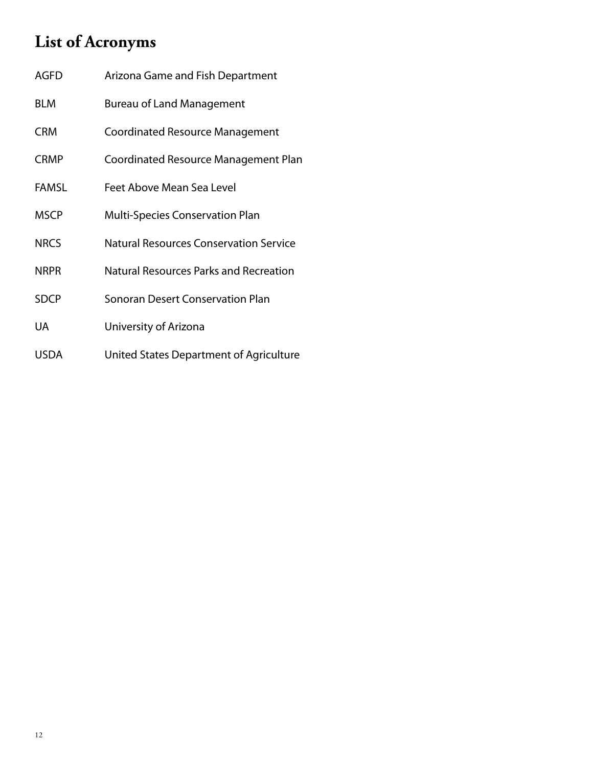## **List of Acronyms**

| <b>AGFD</b>  | Arizona Game and Fish Department              |
|--------------|-----------------------------------------------|
| <b>BLM</b>   | <b>Bureau of Land Management</b>              |
| <b>CRM</b>   | Coordinated Resource Management               |
| <b>CRMP</b>  | Coordinated Resource Management Plan          |
| <b>FAMSL</b> | Feet Above Mean Sea Level                     |
| <b>MSCP</b>  | Multi-Species Conservation Plan               |
| <b>NRCS</b>  | <b>Natural Resources Conservation Service</b> |
| <b>NRPR</b>  | Natural Resources Parks and Recreation        |
| <b>SDCP</b>  | <b>Sonoran Desert Conservation Plan</b>       |
| <b>UA</b>    | University of Arizona                         |
| <b>USDA</b>  | United States Department of Agriculture       |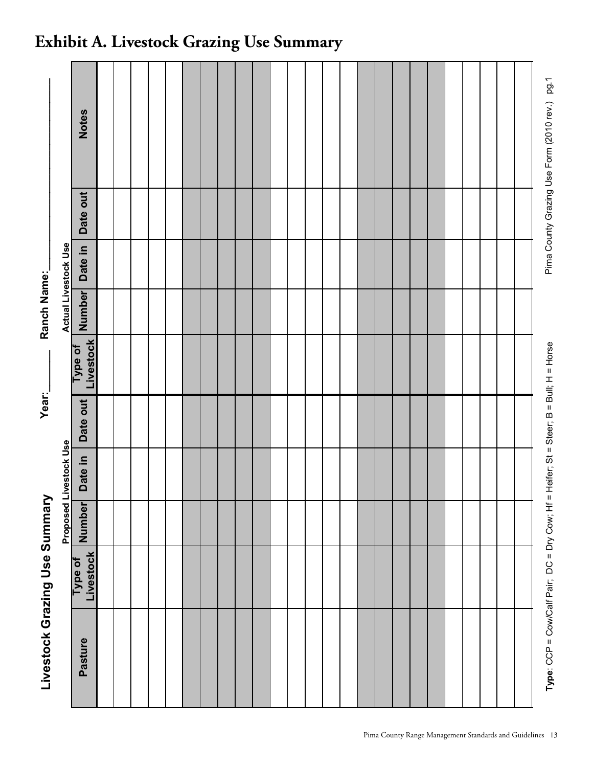| Livestock Grazing Use Summary                 |                      |            |              | Year:_                                  |                      | Ranch Name:                 |         |          |                                               |
|-----------------------------------------------|----------------------|------------|--------------|-----------------------------------------|----------------------|-----------------------------|---------|----------|-----------------------------------------------|
|                                               |                      | Proposed L | ivestock Use |                                         |                      | <b>Actual Livestock Use</b> |         |          |                                               |
| Pasture                                       | Livestock<br>Type of | Number     | Date in      | Date out                                | Livestock<br>Type of | <b>Number</b>               | Date in | Date out | <b>Notes</b>                                  |
|                                               |                      |            |              |                                         |                      |                             |         |          |                                               |
|                                               |                      |            |              |                                         |                      |                             |         |          |                                               |
|                                               |                      |            |              |                                         |                      |                             |         |          |                                               |
|                                               |                      |            |              |                                         |                      |                             |         |          |                                               |
|                                               |                      |            |              |                                         |                      |                             |         |          |                                               |
|                                               |                      |            |              |                                         |                      |                             |         |          |                                               |
|                                               |                      |            |              |                                         |                      |                             |         |          |                                               |
|                                               |                      |            |              |                                         |                      |                             |         |          |                                               |
|                                               |                      |            |              |                                         |                      |                             |         |          |                                               |
|                                               |                      |            |              |                                         |                      |                             |         |          |                                               |
|                                               |                      |            |              |                                         |                      |                             |         |          |                                               |
|                                               |                      |            |              |                                         |                      |                             |         |          |                                               |
|                                               |                      |            |              |                                         |                      |                             |         |          |                                               |
|                                               |                      |            |              |                                         |                      |                             |         |          |                                               |
|                                               |                      |            |              |                                         |                      |                             |         |          |                                               |
|                                               |                      |            |              |                                         |                      |                             |         |          |                                               |
|                                               |                      |            |              |                                         |                      |                             |         |          |                                               |
|                                               |                      |            |              |                                         |                      |                             |         |          |                                               |
|                                               |                      |            |              |                                         |                      |                             |         |          |                                               |
|                                               |                      |            |              |                                         |                      |                             |         |          |                                               |
|                                               |                      |            |              |                                         |                      |                             |         |          |                                               |
|                                               |                      |            |              |                                         |                      |                             |         |          |                                               |
|                                               |                      |            |              |                                         |                      |                             |         |          |                                               |
|                                               |                      |            |              |                                         |                      |                             |         |          |                                               |
|                                               |                      |            |              |                                         |                      |                             |         |          |                                               |
| Type: CCP = Cow/Calf Pair; DC = Dry Cow; Hf = |                      |            |              | Heifer; St = Steer; B = Bull; H = Horse |                      |                             |         |          | Pima County Grazing Use Form (2010 rev.) pg.1 |

## **Exhibit A. Livestock Grazing Use Summary**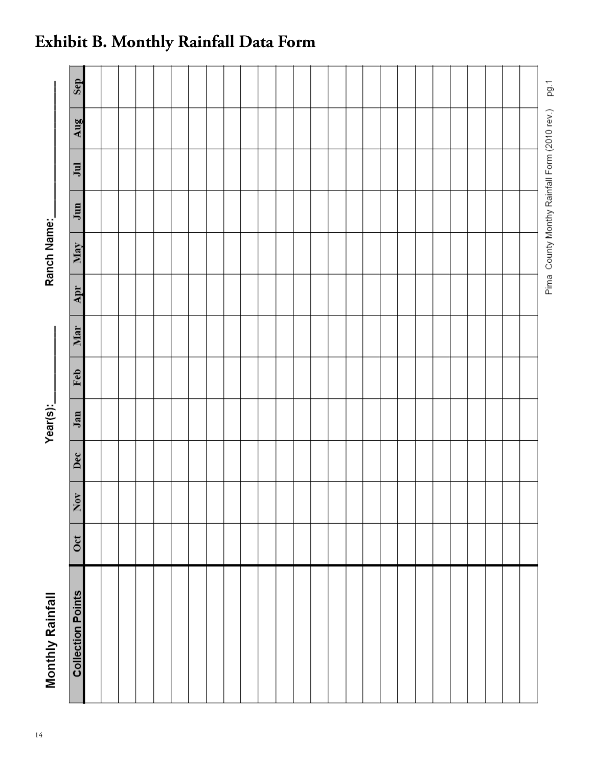| Monthly Rainfall         |              |                  |              | Year(s): |     |     |     | Ranch Name: |     |                                              |     |      |
|--------------------------|--------------|------------------|--------------|----------|-----|-----|-----|-------------|-----|----------------------------------------------|-----|------|
| <b>Collection Points</b> | $_{\rm oct}$ | $\overline{Nov}$ | $_{\rm Dec}$ | Jan      | Feb | Mar | Apr | May         | Jun | $\overline{\phantom{a}}$                     | Aug | Sep  |
|                          |              |                  |              |          |     |     |     |             |     |                                              |     |      |
|                          |              |                  |              |          |     |     |     |             |     |                                              |     |      |
|                          |              |                  |              |          |     |     |     |             |     |                                              |     |      |
|                          |              |                  |              |          |     |     |     |             |     |                                              |     |      |
|                          |              |                  |              |          |     |     |     |             |     |                                              |     |      |
|                          |              |                  |              |          |     |     |     |             |     |                                              |     |      |
|                          |              |                  |              |          |     |     |     |             |     |                                              |     |      |
|                          |              |                  |              |          |     |     |     |             |     |                                              |     |      |
|                          |              |                  |              |          |     |     |     |             |     |                                              |     |      |
|                          |              |                  |              |          |     |     |     |             |     |                                              |     |      |
|                          |              |                  |              |          |     |     |     |             |     |                                              |     |      |
|                          |              |                  |              |          |     |     |     |             |     |                                              |     |      |
|                          |              |                  |              |          |     |     |     |             |     |                                              |     |      |
|                          |              |                  |              |          |     |     |     |             |     |                                              |     |      |
|                          |              |                  |              |          |     |     |     |             |     |                                              |     |      |
|                          |              |                  |              |          |     |     |     |             |     |                                              |     |      |
|                          |              |                  |              |          |     |     |     |             |     |                                              |     |      |
|                          |              |                  |              |          |     |     |     |             |     |                                              |     |      |
|                          |              |                  |              |          |     |     |     |             |     |                                              |     |      |
|                          |              |                  |              |          |     |     |     |             |     |                                              |     |      |
|                          |              |                  |              |          |     |     |     |             |     |                                              |     |      |
|                          |              |                  |              |          |     |     |     |             |     |                                              |     |      |
|                          |              |                  |              |          |     |     |     |             |     |                                              |     |      |
|                          |              |                  |              |          |     |     |     |             |     |                                              |     |      |
|                          |              |                  |              |          |     |     |     |             |     |                                              |     |      |
|                          |              |                  |              |          |     |     |     |             |     |                                              |     |      |
|                          |              |                  |              |          |     |     |     |             |     | Pima County Monthy Rainfall Form (2010 rev.) |     | pg.1 |

## **Exhibit B. Monthly Rainfall Data Form**

14